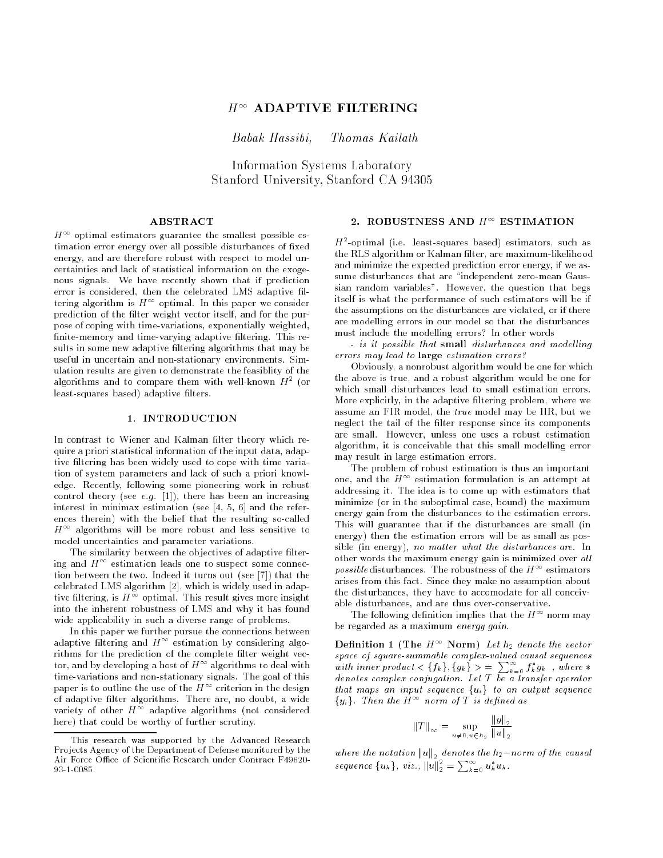# $H^{\infty}$  ADAPTIVE FILTERING

Babak Hassibi, Thomas Kailath

Information Systems Laboratory Stanford University, Stanford CA 94305

## **ABSTRACT**

 $H$   $\cdot$  optimal estimators guarantee the smallest possible estimation error energy over all possible disturbances of fixed energy, and are therefore robust with respect to model uncertainties and lack of statistical information on the exogenous signals. We have recently shown that if prediction error is considered, then the celebrated LMS adaptive filtering algorithm is  $H^{\pm\pm}$  optimal. In this paper we consider prediction of the filter weight vector itself, and for the purpose of coping with time-variations, exponentially weighted, finite-memory and time-varying adaptive filtering. This results in some new adaptive filtering algorithms that may be useful in uncertain and non-stationary environments. Simulation results are given to demonstrate the feasiblity of the algorithms and to compare them with well-known  $H^{\pm}$  (or least-squares based) adaptive filters.

### 1. INTRODUCTION

In contrast to Wiener and Kalman filter theory which require a priori statistical information of the input data, adaptive filtering has been widely used to cope with time variation of system parameters and lack of such a priori knowledge. Recently, following some pioneering work in robust control theory (see e.g. [1]), there has been an increasing interest in minimax estimation (see [4, 5, 6] and the references therein) with the belief that the resulting so-called  $H$   $\hbox{ }^+$  algorithms will be more robust and less sensitive to model uncertainties and parameter variations.

The similarity between the objectives of adaptive filtering and  $H^{\pm\pm}$  estimation leads one to suspect some connection between the two. Indeed it turns out (see [7]) that the celebrated LMS algorithm [2], which is widely used in adaptive filtering, is  $H^{-1}$  optimal. This result gives more insight into the inherent robustness of LMS and why it has found wide applicability in such a diverse range of problems.

In this paper we further pursue the connections between adaptive filtering and  $H$   $\hspace{0.1mm}$  estimation by considering algorithms for the prediction of the complete filter weight vector, and by developing a host of  $H^{\infty}$  algorithms to deal with time-variations and non-stationary signals. The goal of this paper is to outline the use of the  $H$   $\hspace{0.1mm}^{\circ}$  criterion in the design of adaptive filter algorithms. There are, no doubt, a wide variety of other  $H^{\pm\pm}$  adaptive algorithms (not considered here) that could be worthy of further scrutiny.

#### 2. ROBUSTNESS AND  $H^+$  ESTIMATION

 $H$  -optimal (i.e. least-squares based) estimators, such as the RLS algorithm or Kalman filter, are maximum-likelihood and minimize the expected prediction error energy, if we assume disturbances that are \independent zero-mean Gaussian random variables". However, the question that begs itself is what the performance of such estimators will be if the assumptions on the disturbances are violated, or if there are modelling errors in our model so that the disturbances must include the modelling errors? In other words

- is it possible that small disturbances and modelling errors may lead to large estimation errors?

Obviously, a nonrobust algorithm would be one for which the above is true, and a robust algorithm would be one for which small disturbances lead to small estimation errors. More explicitly, in the adaptive filtering problem, where we assume an FIR model, the true model may be IIR, but we neglect the tail of the filter response since its components are small. However, unless one uses a robust estimation algorithm, it is conceivable that this small modelling error may result in large estimation errors.

The problem of robust estimation is thus an important one, and the  $H^{\pm\pm}$  estimation formulation is an attempt at addressing it. The idea is to come up with estimators that minimize (or in the suboptimal case, bound) the maximum energy gain from the disturbances to the estimation errors. This will guarantee that if the disturbances are small (in energy) then the estimation errors will be as small as possible (in energy), no matter what the disturbances are. In other words the maximum energy gain is minimized over all  $possible$  disturbances. The robustness of the  $H^{++}$  estimators arises from this fact. Since they make no assumption about the disturbances, they have to accomodate for all conceivable disturbances, and are thus over-conservative.

The following definition implies that the  $H^+$  norm may be regarded as a maximum energy gain.

Definition 1 (The  $H^{\infty}$  Norm) Let  $h_2$  denote the vector space of square-summable complex-valued causal sequences with inner product  $\langle \{f_k\}, \{g_k\}\rangle = \sum_{k=0}^{\infty} f_k^* g_k$ , where  $*$ denotes complex complex particles are a transfer operator that maps an input sequence  $\{u_i\}$  to an output sequence fyig. Then the <sup>H</sup><sup>1</sup> norm of <sup>T</sup> is dened as

$$
||T||_{\infty} = \sup_{u \neq 0, u \in h_2} \frac{||y||_2}{||u||_2}
$$

where the notation kuk <sup>2</sup> denotes the h2norm of the causal sequence  ${u_k}$ , viz.,  ${||u||}_2^2 = \sum_{k=0}^{\infty} u_k^* u_k$ .

This research was supported by the Advanced Research Projects Agency of the Department of Defense monitored by the Air Force Office of Scientific Research under Contract F49620-93-1-0085.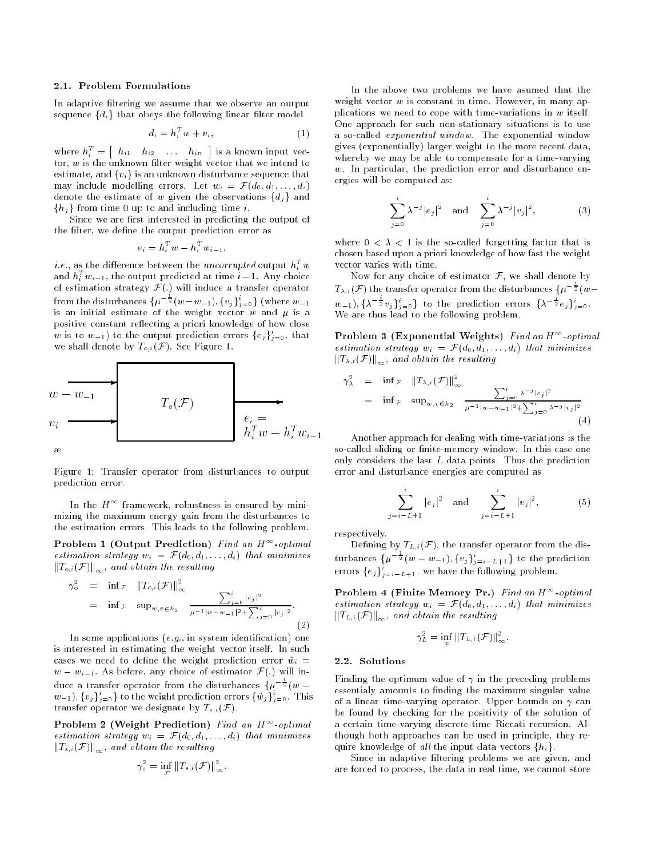### 2.1. Problem Formulations

In adaptive filtering we assume that we observe an output sequence  $\{d_i\}$  that obeys the following linear filter model

$$
d_i = h_i^T w + v_i,\tag{1}
$$

where  $h_i^T = \begin{bmatrix} h_{i1} & h_{i2} & \dots & h_{in} \end{bmatrix}$  is a known input vector,  $w$  is the unknown filter weight vector that we intend to estimate, and  $\{v_i\}$  is an unknown disturbance sequence that may include modelling errors. Let wi en found and  $\mathbf{r} = \mathbf{r} \cdot \mathbf{r} = \mathbf{r} \cdot \mathbf{r} = \mathbf{r} \cdot \mathbf{r} = \mathbf{r} \cdot \mathbf{r}$ denote the estimate of w given the observations farfi direct for the contract of  $\mathbb{F}_p$  for an including time i.e.

Since we are first interested in predicting the output of the filter, we define the output prediction error as

$$
e_i = h_i^T w - h_i^T w_{i-1},
$$

 $\it i.e.,$  as the difference between the  $\it uncorrupted$  output  $\it h^{\it r}_i$   $\it w$ and  $h_i^+ \, w_{i-1},$  the output predicted at time  $i-1.$  Any choice of estimation strategy F(:) will induce a transfer operator from the disturbances  $\{\mu^{-\frac{1}{2}}(w-w_{-1}), \{v_j\}_{j=0}^i\}$  (where  $w_{-1}$ ) is an initial estimate of the weight vector  $w$  and  $\mu$  is a positive constant reflecting a priori knowledge of how close w is to  $w_{-1}$ ) to the output prediction errors  $\{e_i\}_{i=0}$ , that we shall denote by To;; (F). See Figure 1.



Figure 1: Transfer operator from disturbances to output prediction error.

In the  $H^{++}$  Iramework, robustness is ensured by minimizing the maximum energy gain from the disturbances to the estimation errors. This leads to the following problem.

Problem 1 (Output Prediction) Find an H  $^+$  -optimal estimation strategy with  $\mathcal{L}^{\text{max}}$  with  $\mathcal{L}^{\text{max}}$  ,  $\mathcal{L}^{\text{max}}$  ,  $\mathcal{L}^{\text{max}}$  ,  $\mathcal{L}^{\text{max}}$  $k\in\mathbb{N}$  and  $k\in\mathbb{N}$  and  $k\in\mathbb{N}$  and  $k\in\mathbb{N}$ 

$$
\gamma_o^2 = \inf_{\mathcal{F}} \|\mathcal{T}_{o,i}(\mathcal{F})\|_{\infty}^2
$$
  
=  $\inf_{\mathcal{F}} \sup_{w,v \in h_2} \frac{\sum_{j=0}^i |e_j|^2}{\mu^{-1}|w - w_{-1}|^2 + \sum_{j=0}^i |v_j|^2}.$  (2)

In some applications (e.g., in system identification) one is interested in estimating the weight vector itself. In such cases we need to dene the weight prediction error w~i <sup>=</sup> where  $\alpha$  is a before  $\alpha$  and  $\alpha$  in any choice of estimator  $\alpha$  in  $\alpha$  in  $\alpha$ duce a transfer operator from the disturbances  $\{\mu^{-\frac{1}{2}}(w-\frac{1}{2})\}$  $w_{-1}$ ,  $\{v_j\}_{j=0}$  to the weight prediction errors  $\{w_j\}_{j=0}$ . This transfer operator we designate by  $T_{s,i}(\mathcal{F})$ .

Problem 2 (Weight Prediction) Find an H  $^+$  -optimal estimation strategy with  $\mathcal{L}^{\text{max}}$  with  $\mathcal{L}^{\text{max}}$  ,  $\mathcal{L}^{\text{max}}$  ,  $\mathcal{L}^{\text{max}}$  ,  $\mathcal{L}^{\text{max}}$  $k\in\mathbb{N}$  and  $k\in\mathbb{N}$  and  $k\in\mathbb{N}$  and  $k\in\mathbb{N}$ 

$$
\gamma_s^2 = \inf_{\mathcal{F}} \|T_{s,i}(\mathcal{F})\|_{\infty}^2.
$$

In the above two problems we have asumed that the weight vector  $w$  is constant in time. However, in many applications we need to cope with time-variations in  $w$  itself. One approach for such non-stationary situations is to use a so-called exponential window. The exponential window gives (exponentially) larger weight to the more recent data, whereby we may be able to compensate for a time-varying  $w$ . In particular, the prediction error and disturbance energies will be computed as:

$$
\sum_{j=0}^{i} \lambda^{-j} |e_j|^2 \quad \text{and} \quad \sum_{j=0}^{i} \lambda^{-j} |v_j|^2, \tag{3}
$$

where  $0 < \lambda < 1$  is the so-called forgetting factor that is chosen based upon a priori knowledge of how fast the weight vector varies with time.

Now for any choice of estimator  $F$ , we shall denote by  $T_{\lambda,i}(\mathcal{F})$  the transfer operator from the disturbances  $\{\mu^{-\frac{1}{2}}(w-\frac{1}{2})\}$  $(w_{-1}), \{\lambda^{-\frac{1}{2}}v_j\}_{j=0}^{\infty}$  to the prediction errors  $\{\lambda^{-\frac{1}{2}}e_j\}_{j=0}^{\infty}$ . We are thus lead to the following problem.

Problem 3 (Exponential Weights) find an H  $^{\circ}$  -optimal estimation strategy wi <sup>=</sup> F(d0; d1; : : : ; di) that minimizes  $k\in\{1,\infty\}$  and obtain the resulting

$$
\gamma_{\lambda}^{2} = \inf \mathcal{F} \quad ||T_{\lambda,i}(\mathcal{F})||_{\infty}^{2}
$$
\n
$$
= \inf \mathcal{F} \quad \sup w_{,v \in h_{2}} \quad \frac{\sum_{j=0}^{i} \lambda^{-j} |e_{j}|^{2}}{\mu^{-1}|w - w_{-1}|^{2} + \sum_{j=0}^{i} \lambda^{-j} |v_{j}|^{2}}
$$
\n(4)

Another approach for dealing with time-variations is the so-called sliding or finite-memory window. In this case one only considers the last  $L$  data points. Thus the prediction error and disturbance energies are computed as

$$
\sum_{j=i-L+1}^{i} |e_j|^2 \quad \text{and} \quad \sum_{j=i-L+1}^{i} |v_j|^2, \tag{5}
$$

respectively.

 $\blacksquare$  decreasing by  $\blacksquare$ , i.e., i.e., the discussed operator from the disturbances  $\{\mu^{-\frac{1}{2}}(w-w_{-1}), \{v_j\}_{i=i-L+1}^{\infty}\}$  to the prediction errors  $\{e_j\}_{j=i=L+1}$ , we have the following problem.

Problem 4 (Finite Memory Pr.) Find an H  $^+$  optimal estimation strategy wi <sup>=</sup> F(d0; d1; : : : ; di) that minimizes  $\mathbf{u} = \mathbf{u}_1, \mathbf{v} = \mathbf{v}_1 \mathbf{u}_2 \mathbf{a}_3, \mathbf{v}_2 \mathbf{u}_3 \mathbf{u}_4 \mathbf{u}_5 \mathbf{u}_6 \mathbf{u}_7 \mathbf{u}_8 \mathbf{u}_7 \mathbf{u}_8 \mathbf{u}_8 \mathbf{u}_9 \mathbf{u}_8 \mathbf{u}_9 \mathbf{u}_9 \mathbf{u}_9 \mathbf{u}_9 \mathbf{u}_9 \mathbf{u}_9 \mathbf{u}_9 \mathbf{u}_9 \mathbf{u}_9 \mathbf{u}_9 \mathbf{u}_9 \mathbf{u}_9 \mathbf{u}_9 \$ 

$$
\gamma_L^2 = \inf_{\mathcal{F}} \|T_{L,i}(\mathcal{F})\|_{\infty}^2.
$$

#### 2.2. Solutions

Finding the optimum value of  $\gamma$  in the preceding problems essentialy amounts to finding the maximum singular value of a linear time-varying operator. Upper bounds on  $\gamma$  can be found by checking for the positivity of the solution of a certain time-varying discrete-time Riccati recursion. Although both approaches can be used in principle, they require knowledge of all the input data vectors  $\{h_i\}$ .

Since in adaptive filtering problems we are given, and are forced to process, the data in real time, we cannot store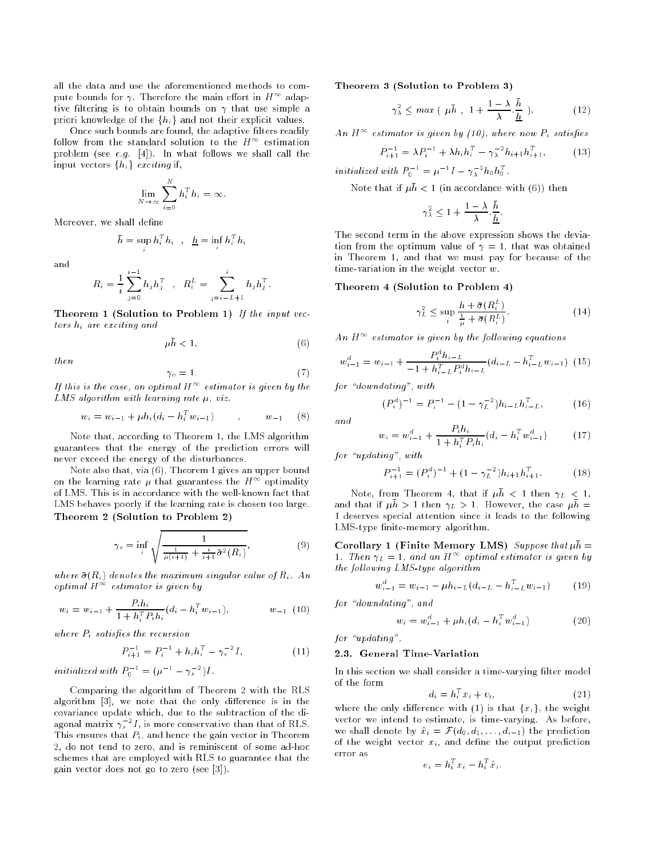all the data and use the aforementioned methods to compute bounds for  $\gamma$ . Therefore the main effort in  $H$  " adaptive filtering is to obtain bounds on  $\gamma$  that use simple a priori knowledge of the  $\{h_i\}$  and not their explicit values.

Once such bounds are found, the adaptive filters readily follow from the standard solution to the  $H^{\infty}$  estimation problem (see e.g. [4]). In what follows we shall call the input vectors  $\{h_i\}$  exciting if,

$$
\lim_{N \to \infty} \sum_{i=0}^{N} h_i^T h_i = \infty.
$$

Moreover, we shall define

$$
\bar{h} = \sup h_i^T h_i \quad , \quad \underline{h} = \inf_i h_i^T h_i
$$

$$
R_i = \frac{1}{i} \sum_{j=0}^{i-1} h_j h_j^T \quad , \quad R_i^L = \sum_{j=i-L+1}^{i} h_j h_j^T.
$$

Theorem 1 (Solution to Problem 1) If the input vectors hi are exciting and

$$
\mu \bar{h} < 1,\tag{6}
$$

then

$$
P_2 = 1. \tag{7}
$$

If this is the case, an optimal  $H^{++}$  estimator is given by the  $LMS$  algorithm with learning rate  $\mu$ , viz.

 $\gamma$ 

$$
w_i = w_{i-1} + \mu h_i (d_i - h_i^T w_{i-1}) \qquad , \qquad w_{-1} \qquad (8)
$$

Note that, according to Theorem 1, the LMS algorithm guarantees that the energy of the prediction errors will never exceed the energy of the disturbances.

Note also that, via (6), Theorem 1 gives an upper bound on the learning rate  $\mu$  that guarantess the  $H^{++}$  optimality of LMS. This is in accordance with the well-known fact that LMS behaves poorly if the learning rate is chosen too large. Theorem 2 (Solution to Problem 2)

s and the state of the state of the

$$
\gamma_s = \inf_i \sqrt{\frac{1}{\frac{1}{\mu(i+1)} + \frac{i}{i+1}\bar{\sigma}^2(R_i)}},\tag{9}
$$

where  $\alpha$  (Ri) denotes the maximum singular value of Ri . And optimal <sup>H</sup><sup>1</sup> estimator is given by

$$
w_i = w_{i-1} + \frac{P_i h_i}{1 + h_i^T P_i h_i} (d_i - h_i^T w_{i-1}), \qquad w_{-1} \tag{10}
$$

where  $\sim$  , and the recursion of the recursion

$$
P_{i+1}^{-1} = P_i^{-1} + h_i h_i^T - \gamma_s^{-2} I,\tag{11}
$$

initialized with  $P_0^- = (\mu^- - \gamma_s^-)I$ .

Comparing the algorithm of Theorem 2 with the RLS algorithm  $[3]$ , we note that the only difference is in the covariance update which, due to the subtraction of the diagonal matrix  $\gamma_s$  -1, is more conservative than that of RLS. sThis ensures that Pi , and hence the gain vector in Theorem 2, do not tend to zero, and is reminiscent of some ad-hoc schemes that are employed with RLS to guarantee that the gain vector does not go to zero (see [3]).

Theorem 3 (Solution to Problem 3)

$$
\gamma_{\lambda}^{2} \leq \max\left(\ \mu \bar{h} \ , \ 1 + \frac{1-\lambda}{\lambda} \cdot \frac{h}{\underline{h}} \ \right). \tag{12}
$$

An H  $^\circ{\text{\ }}$  estimator is given by (10), where now  $\textit{P}_i$  satisfies

$$
P_{i+1}^{-1} = \lambda P_i^{-1} + \lambda h_i h_i^T - \gamma_{\lambda}^{-2} h_{i+1} h_{i+1}^T,
$$
 (13)

initialized with  $P_0^- = \mu^- I - \gamma_{\lambda}^- n_0 n_0^-$ .

Note that if  $\mu \bar{h} < 1$  (in accordance with (6)) then

$$
\gamma_{\lambda}^2 \leq 1 + \frac{1 - \lambda}{\lambda} \cdot \frac{\bar{h}}{\underline{h}}.
$$

The second term in the above expression shows the deviation from the optimum value of  $\gamma = 1$ , that was obtained in Theorem 1, and that we must pay for because of the time-variation in the weight vector  $w$ .

Theorem 4 (Solution to Problem 4)

$$
\gamma_L^2 \le \sup_i \frac{\bar{h} + \bar{\sigma}(R_i^L)}{\frac{1}{\mu} + \bar{\sigma}(R_i^L)}.
$$
\n(14)

An  $H^{\infty}$  estimator is given by the following equations

$$
w_{i-1}^d = w_{i-1} + \frac{P_i^d h_{i-L}}{-1 + h_{i-L}^T P_i^d h_{i-L}} (d_{i-L} - h_{i-L}^T w_{i-1})
$$
 (15)

for  $\alpha$ <sup>"</sup>downdating", with

$$
(P_i^d)^{-1} = P_i^{-1} - (1 - \gamma_L^{-2})h_{i-L}h_{i-L}^T,
$$
 (16)

and

$$
w_i = w_{i-1}^d + \frac{P_i h_i}{1 + h_i^T P_i h_i} (d_i - h_i^T w_{i-1}^d)
$$
 (17)

for  $\alpha$ <sup>u</sup>pdating", with

$$
P_{i+1}^{-1} = (P_i^d)^{-1} + (1 - \gamma_L^{-2})h_{i+1}h_{i+1}^T.
$$
 (18)

Note, from Theorem 4, that if  $\mu n \leq 1$  then  $\gamma_L \leq 1$ , and that if  $\mu \nu > 1$  then  $\gamma_L > 1$ . However, the case  $\mu \nu =$ 1 deserves special attention since it leads to the following LMS-type finite-memory algorithm.

Corollary 1 (Finite Memory LMS) Suppose that  $\mu \bar{h} =$ 1. Inen  $\gamma_L = 1$ , and an H  $^+$  optimal estimator is qiven by the following  $LMS$ -type algorithm

$$
w_{i-1}^d = w_{i-1} - \mu h_{i-L} (d_{i-L} - h_{i-L}^T w_{i-1}) \tag{19}
$$

for "downdating", and

$$
w_i = w_{i-1}^d + \mu h_i (d_i - h_i^T w_{i-1}^d)
$$
 (20)

for "updating".

#### 2.3. General Time-Variation

In this section we shall consider a time-varying filter model of the form

$$
d_i = h_i^T x_i + v_i, \tag{21}
$$

where the only difference with (1) is that  ${x_i}$ , the weight vector we intend to estimate, is time-varying. As before, we shall denote by  $\alpha$  ;  $\alpha$  is the prediction prediction. of the weight vector  $x_i$ , and define the output prediction error as

$$
e_i = h_i^T x_i - h_i^T \hat{x}_i.
$$